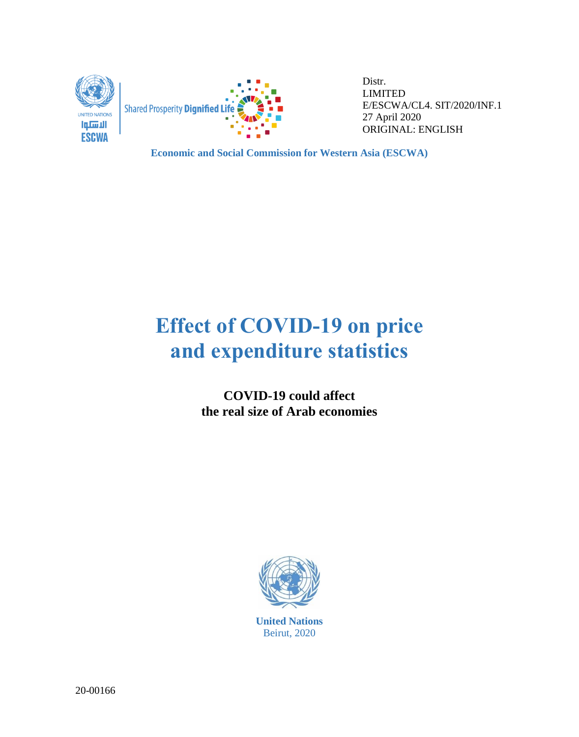



Distr. LIMITED E/ESCWA/CL4. SIT/2020/INF.1 27 April 2020 ORIGINAL: ENGLISH

**Economic and Social Commission for Western Asia (ESCWA)**

# **Effect of COVID-19 on price and expenditure statistics**

**COVID-19 could affect the real size of Arab economies**



**United Nations** Beirut, 2020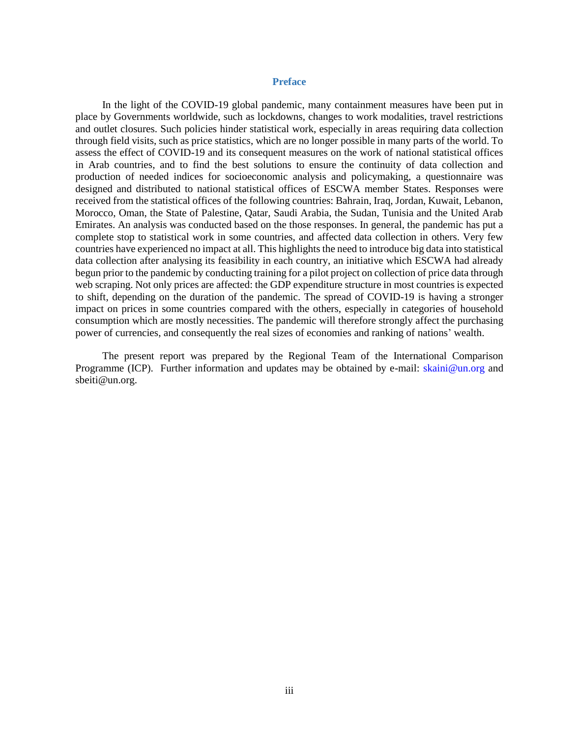#### **Preface**

<span id="page-1-0"></span>In the light of the COVID-19 global pandemic, many containment measures have been put in place by Governments worldwide, such as lockdowns, changes to work modalities, travel restrictions and outlet closures. Such policies hinder statistical work, especially in areas requiring data collection through field visits, such as price statistics, which are no longer possible in many parts of the world. To assess the effect of COVID-19 and its consequent measures on the work of national statistical offices in Arab countries, and to find the best solutions to ensure the continuity of data collection and production of needed indices for socioeconomic analysis and policymaking, a questionnaire was designed and distributed to national statistical offices of ESCWA member States. Responses were received from the statistical offices of the following countries: Bahrain, Iraq, Jordan, Kuwait, Lebanon, Morocco, Oman, the State of Palestine, Qatar, Saudi Arabia, the Sudan, Tunisia and the United Arab Emirates. An analysis was conducted based on the those responses. In general, the pandemic has put a complete stop to statistical work in some countries, and affected data collection in others. Very few countries have experienced no impact at all. This highlights the need to introduce big data into statistical data collection after analysing its feasibility in each country, an initiative which ESCWA had already begun prior to the pandemic by conducting training for a pilot project on collection of price data through web scraping. Not only prices are affected: the GDP expenditure structure in most countries is expected to shift, depending on the duration of the pandemic. The spread of COVID-19 is having a stronger impact on prices in some countries compared with the others, especially in categories of household consumption which are mostly necessities. The pandemic will therefore strongly affect the purchasing power of currencies, and consequently the real sizes of economies and ranking of nations' wealth.

The present report was prepared by the Regional Team of the International Comparison Programme (ICP). Further information and updates may be obtained by e-mail: [skaini@un.org](mailto:skaini@un.org) and sbeiti@un.org.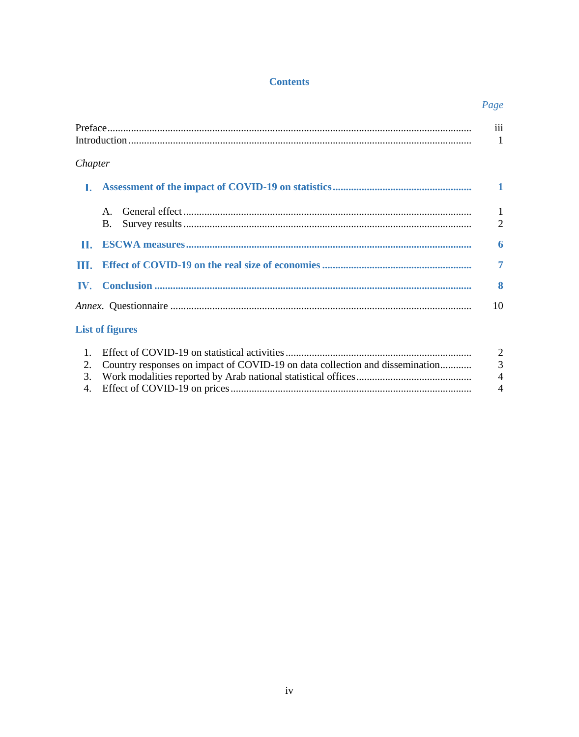## **Contents**

|                |                                                                                | Page                           |
|----------------|--------------------------------------------------------------------------------|--------------------------------|
|                |                                                                                | iii<br>-1                      |
| Chapter        |                                                                                |                                |
| L.             |                                                                                |                                |
|                | $\mathsf{A}$<br><b>B.</b>                                                      | $\mathbf{1}$<br>$\overline{2}$ |
|                |                                                                                | 6                              |
| Ш.             |                                                                                | $\overline{7}$                 |
| IV.            |                                                                                | 8                              |
|                |                                                                                | 10                             |
|                | <b>List of figures</b>                                                         |                                |
| $\overline{1}$ | 2. Country reponses on impact of COVID-10 on data collection and discomination | $\overline{a}$                 |

| $\mathbf{u} = \mathbf{u}$ . The set of $\mathbf{u}$ is the statistical and interest indicated in the set of $\mathbf{u}$ |                        |
|--------------------------------------------------------------------------------------------------------------------------|------------------------|
| 2. Country responses on impact of COVID-19 on data collection and dissemination                                          | - 3                    |
|                                                                                                                          | $\boldsymbol{\Lambda}$ |
|                                                                                                                          | $\boldsymbol{\Lambda}$ |
|                                                                                                                          |                        |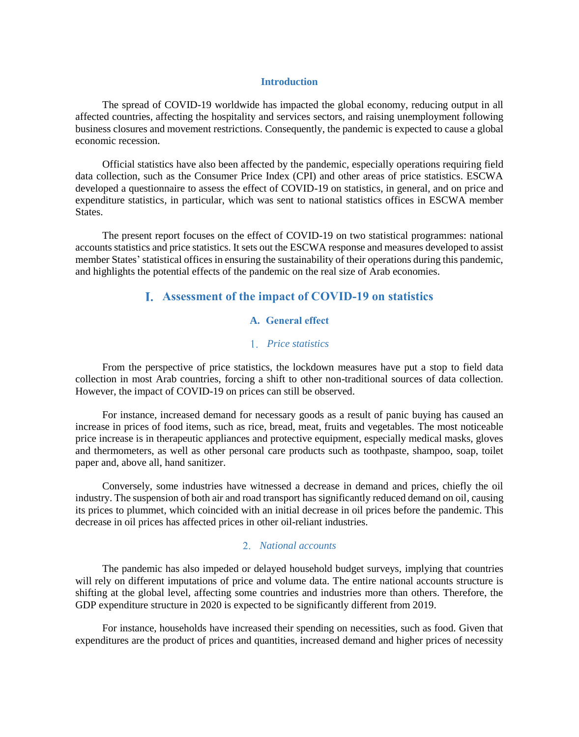#### **Introduction**

<span id="page-3-0"></span>The spread of COVID-19 worldwide has impacted the global economy, reducing output in all affected countries, affecting the hospitality and services sectors, and raising unemployment following business closures and movement restrictions. Consequently, the pandemic is expected to cause a global economic recession.

Official statistics have also been affected by the pandemic, especially operations requiring field data collection, such as the Consumer Price Index (CPI) and other areas of price statistics. ESCWA developed a questionnaire to assess the effect of COVID-19 on statistics, in general, and on price and expenditure statistics, in particular, which was sent to national statistics offices in ESCWA member States.

<span id="page-3-1"></span>The present report focuses on the effect of COVID-19 on two statistical programmes: national accounts statistics and price statistics. It sets out the ESCWA response and measures developed to assist member States' statistical offices in ensuring the sustainability of their operations during this pandemic, and highlights the potential effects of the pandemic on the real size of Arab economies.

## **Assessment of the impact of COVID-19 on statistics**

## **A. General effect**

## *Price statistics*

<span id="page-3-2"></span>From the perspective of price statistics, the lockdown measures have put a stop to field data collection in most Arab countries, forcing a shift to other non-traditional sources of data collection. However, the impact of COVID-19 on prices can still be observed.

For instance, increased demand for necessary goods as a result of panic buying has caused an increase in prices of food items, such as rice, bread, meat, fruits and vegetables. The most noticeable price increase is in therapeutic appliances and protective equipment, especially medical masks, gloves and thermometers, as well as other personal care products such as toothpaste, shampoo, soap, toilet paper and, above all, hand sanitizer.

Conversely, some industries have witnessed a decrease in demand and prices, chiefly the oil industry. The suspension of both air and road transport has significantly reduced demand on oil, causing its prices to plummet, which coincided with an initial decrease in oil prices before the pandemic. This decrease in oil prices has affected prices in other oil-reliant industries.

#### *National accounts*

The pandemic has also impeded or delayed household budget surveys, implying that countries will rely on different imputations of price and volume data. The entire national accounts structure is shifting at the global level, affecting some countries and industries more than others. Therefore, the GDP expenditure structure in 2020 is expected to be significantly different from 2019.

For instance, households have increased their spending on necessities, such as food. Given that expenditures are the product of prices and quantities, increased demand and higher prices of necessity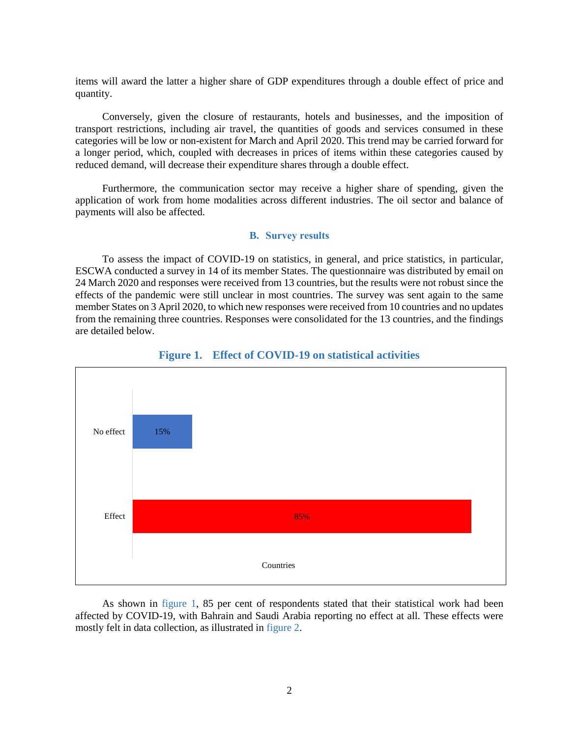items will award the latter a higher share of GDP expenditures through a double effect of price and quantity.

Conversely, given the closure of restaurants, hotels and businesses, and the imposition of transport restrictions, including air travel, the quantities of goods and services consumed in these categories will be low or non-existent for March and April 2020. This trend may be carried forward for a longer period, which, coupled with decreases in prices of items within these categories caused by reduced demand, will decrease their expenditure shares through a double effect.

Furthermore, the communication sector may receive a higher share of spending, given the application of work from home modalities across different industries. The oil sector and balance of payments will also be affected.

#### **B. Survey results**

<span id="page-4-0"></span>To assess the impact of COVID-19 on statistics, in general, and price statistics, in particular, ESCWA conducted a survey in 14 of its member States. The questionnaire was distributed by email on 24 March 2020 and responses were received from 13 countries, but the results were not robust since the effects of the pandemic were still unclear in most countries. The survey was sent again to the same member States on 3 April 2020, to which new responses were received from 10 countries and no updates from the remaining three countries. Responses were consolidated for the 13 countries, and the findings are detailed below.

<span id="page-4-1"></span>

## **Figure 1. Effect of COVID-19 on statistical activities**

As shown in [figure](#page-4-1) 1, 85 per cent of respondents stated that their statistical work had been affected by COVID-19, with Bahrain and Saudi Arabia reporting no effect at all. These effects were mostly felt in data collection, as illustrated i[n figure 2.](#page-5-0)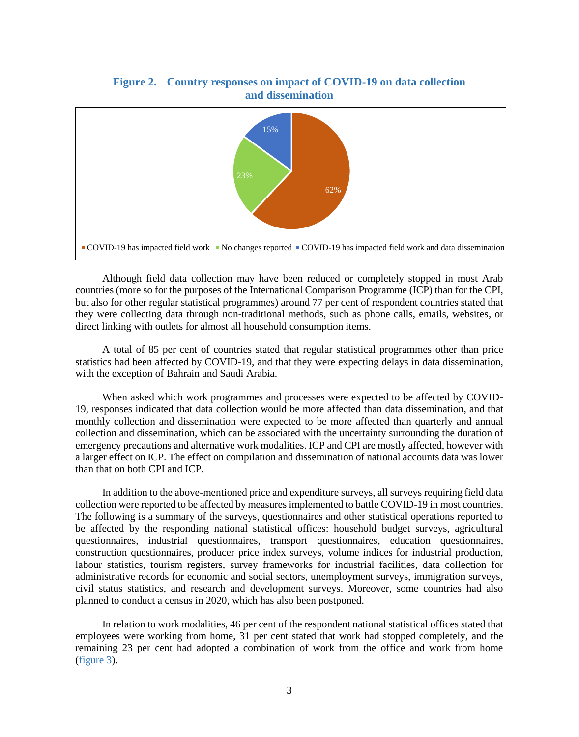<span id="page-5-0"></span>

Although field data collection may have been reduced or completely stopped in most Arab countries (more so for the purposes of the International Comparison Programme (ICP) than for the CPI, but also for other regular statistical programmes) around 77 per cent of respondent countries stated that they were collecting data through non-traditional methods, such as phone calls, emails, websites, or direct linking with outlets for almost all household consumption items.

A total of 85 per cent of countries stated that regular statistical programmes other than price statistics had been affected by COVID-19, and that they were expecting delays in data dissemination, with the exception of Bahrain and Saudi Arabia.

When asked which work programmes and processes were expected to be affected by COVID-19, responses indicated that data collection would be more affected than data dissemination, and that monthly collection and dissemination were expected to be more affected than quarterly and annual collection and dissemination, which can be associated with the uncertainty surrounding the duration of emergency precautions and alternative work modalities. ICP and CPI are mostly affected, however with a larger effect on ICP. The effect on compilation and dissemination of national accounts data was lower than that on both CPI and ICP.

In addition to the above-mentioned price and expenditure surveys, all surveys requiring field data collection were reported to be affected by measures implemented to battle COVID-19 in most countries. The following is a summary of the surveys, questionnaires and other statistical operations reported to be affected by the responding national statistical offices: household budget surveys, agricultural questionnaires, industrial questionnaires, transport questionnaires, education questionnaires, construction questionnaires, producer price index surveys, volume indices for industrial production, labour statistics, tourism registers, survey frameworks for industrial facilities, data collection for administrative records for economic and social sectors, unemployment surveys, immigration surveys, civil status statistics, and research and development surveys. Moreover, some countries had also planned to conduct a census in 2020, which has also been postponed.

In relation to work modalities, 46 per cent of the respondent national statistical offices stated that employees were working from home, 31 per cent stated that work had stopped completely, and the remaining 23 per cent had adopted a combination of work from the office and work from home [\(figure 3\)](#page-6-0).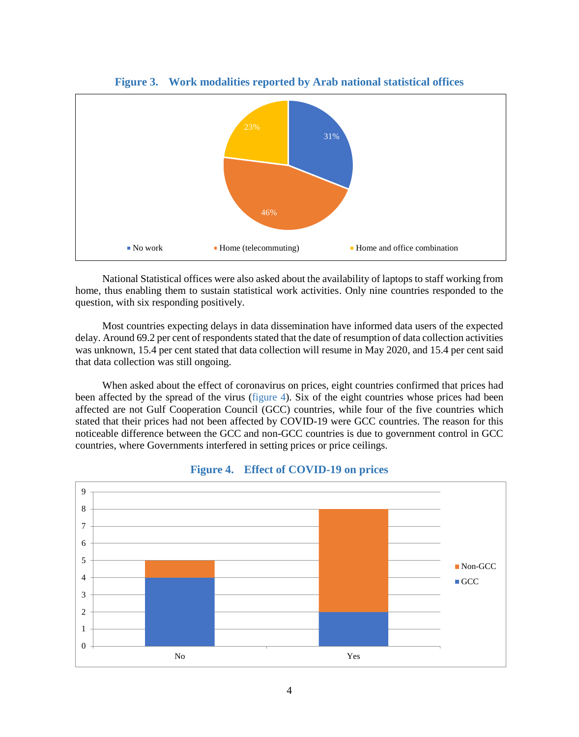<span id="page-6-0"></span>

**Figure 3. Work modalities reported by Arab national statistical offices**

National Statistical offices were also asked about the availability of laptops to staff working from home, thus enabling them to sustain statistical work activities. Only nine countries responded to the question, with six responding positively.

Most countries expecting delays in data dissemination have informed data users of the expected delay. Around 69.2 per cent of respondents stated that the date of resumption of data collection activities was unknown, 15.4 per cent stated that data collection will resume in May 2020, and 15.4 per cent said that data collection was still ongoing.

When asked about the effect of coronavirus on prices, eight countries confirmed that prices had been affected by the spread of the virus [\(figure 4\)](#page-6-1). Six of the eight countries whose prices had been affected are not Gulf Cooperation Council (GCC) countries, while four of the five countries which stated that their prices had not been affected by COVID-19 were GCC countries. The reason for this noticeable difference between the GCC and non-GCC countries is due to government control in GCC countries, where Governments interfered in setting prices or price ceilings.

<span id="page-6-1"></span>

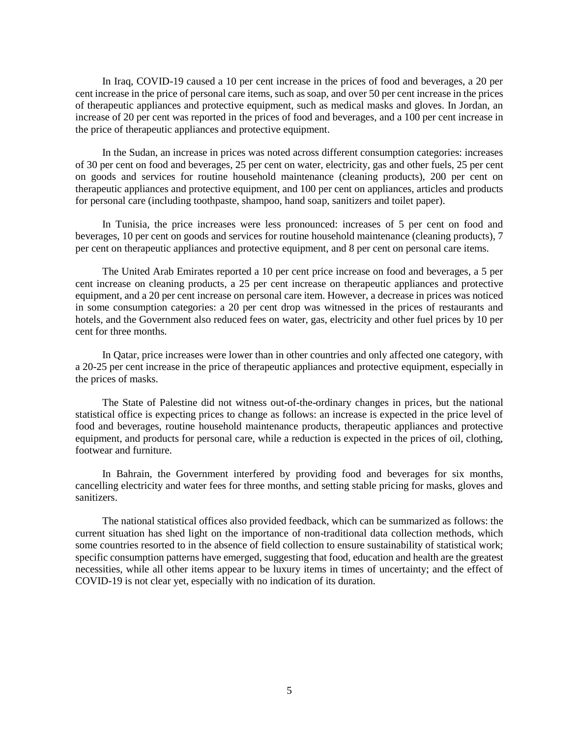In Iraq, COVID-19 caused a 10 per cent increase in the prices of food and beverages, a 20 per cent increase in the price of personal care items, such as soap, and over 50 per cent increase in the prices of therapeutic appliances and protective equipment, such as medical masks and gloves. In Jordan, an increase of 20 per cent was reported in the prices of food and beverages, and a 100 per cent increase in the price of therapeutic appliances and protective equipment.

In the Sudan, an increase in prices was noted across different consumption categories: increases of 30 per cent on food and beverages, 25 per cent on water, electricity, gas and other fuels, 25 per cent on goods and services for routine household maintenance (cleaning products), 200 per cent on therapeutic appliances and protective equipment, and 100 per cent on appliances, articles and products for personal care (including toothpaste, shampoo, hand soap, sanitizers and toilet paper).

In Tunisia, the price increases were less pronounced: increases of 5 per cent on food and beverages, 10 per cent on goods and services for routine household maintenance (cleaning products), 7 per cent on therapeutic appliances and protective equipment, and 8 per cent on personal care items.

The United Arab Emirates reported a 10 per cent price increase on food and beverages, a 5 per cent increase on cleaning products, a 25 per cent increase on therapeutic appliances and protective equipment, and a 20 per cent increase on personal care item. However, a decrease in prices was noticed in some consumption categories: a 20 per cent drop was witnessed in the prices of restaurants and hotels, and the Government also reduced fees on water, gas, electricity and other fuel prices by 10 per cent for three months.

In Qatar, price increases were lower than in other countries and only affected one category, with a 20-25 per cent increase in the price of therapeutic appliances and protective equipment, especially in the prices of masks.

The State of Palestine did not witness out-of-the-ordinary changes in prices, but the national statistical office is expecting prices to change as follows: an increase is expected in the price level of food and beverages, routine household maintenance products, therapeutic appliances and protective equipment, and products for personal care, while a reduction is expected in the prices of oil, clothing, footwear and furniture.

In Bahrain, the Government interfered by providing food and beverages for six months, cancelling electricity and water fees for three months, and setting stable pricing for masks, gloves and sanitizers.

The national statistical offices also provided feedback, which can be summarized as follows: the current situation has shed light on the importance of non-traditional data collection methods, which some countries resorted to in the absence of field collection to ensure sustainability of statistical work; specific consumption patterns have emerged, suggesting that food, education and health are the greatest necessities, while all other items appear to be luxury items in times of uncertainty; and the effect of COVID-19 is not clear yet, especially with no indication of its duration.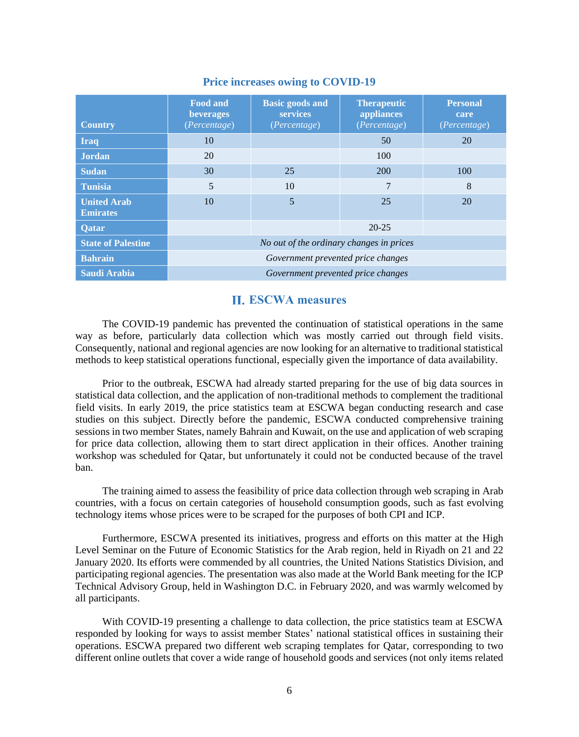| <b>Country</b>                        | <b>Food and</b><br>beverages<br>(Percentage) | <b>Basic goods and</b><br><b>services</b><br>(Percentage) | <b>Therapeutic</b><br>appliances<br>(Percentage) | <b>Personal</b><br>care<br>(Percentage) |  |  |
|---------------------------------------|----------------------------------------------|-----------------------------------------------------------|--------------------------------------------------|-----------------------------------------|--|--|
| <b>Iraq</b>                           | 10                                           |                                                           | 50                                               | 20                                      |  |  |
| <b>Jordan</b>                         | 20                                           |                                                           | 100                                              |                                         |  |  |
| <b>Sudan</b>                          | 30                                           | 25                                                        | 200                                              | 100                                     |  |  |
| <b>Tunisia</b>                        | 5                                            | 10                                                        | 7                                                | 8                                       |  |  |
| <b>United Arab</b><br><b>Emirates</b> | 10                                           | 5                                                         | 25                                               | 20                                      |  |  |
| Qatar                                 | $20 - 25$                                    |                                                           |                                                  |                                         |  |  |
| <b>State of Palestine</b>             | No out of the ordinary changes in prices     |                                                           |                                                  |                                         |  |  |
| <b>Bahrain</b>                        | Government prevented price changes           |                                                           |                                                  |                                         |  |  |
| <b>Saudi Arabia</b>                   | Government prevented price changes           |                                                           |                                                  |                                         |  |  |

## **Price increases owing to COVID-19**

## **ESCWA measures**

<span id="page-8-0"></span>The COVID-19 pandemic has prevented the continuation of statistical operations in the same way as before, particularly data collection which was mostly carried out through field visits. Consequently, national and regional agencies are now looking for an alternative to traditional statistical methods to keep statistical operations functional, especially given the importance of data availability.

Prior to the outbreak, ESCWA had already started preparing for the use of big data sources in statistical data collection, and the application of non-traditional methods to complement the traditional field visits. In early 2019, the price statistics team at ESCWA began conducting research and case studies on this subject. Directly before the pandemic, ESCWA conducted comprehensive training sessions in two member States, namely Bahrain and Kuwait, on the use and application of web scraping for price data collection, allowing them to start direct application in their offices. Another training workshop was scheduled for Qatar, but unfortunately it could not be conducted because of the travel ban.

The training aimed to assess the feasibility of price data collection through web scraping in Arab countries, with a focus on certain categories of household consumption goods, such as fast evolving technology items whose prices were to be scraped for the purposes of both CPI and ICP.

Furthermore, ESCWA presented its initiatives, progress and efforts on this matter at the High Level Seminar on the Future of Economic Statistics for the Arab region, held in Riyadh on 21 and 22 January 2020. Its efforts were commended by all countries, the United Nations Statistics Division, and participating regional agencies. The presentation was also made at the World Bank meeting for the ICP Technical Advisory Group, held in Washington D.C. in February 2020, and was warmly welcomed by all participants.

With COVID-19 presenting a challenge to data collection, the price statistics team at ESCWA responded by looking for ways to assist member States' national statistical offices in sustaining their operations. ESCWA prepared two different web scraping templates for Qatar, corresponding to two different online outlets that cover a wide range of household goods and services (not only items related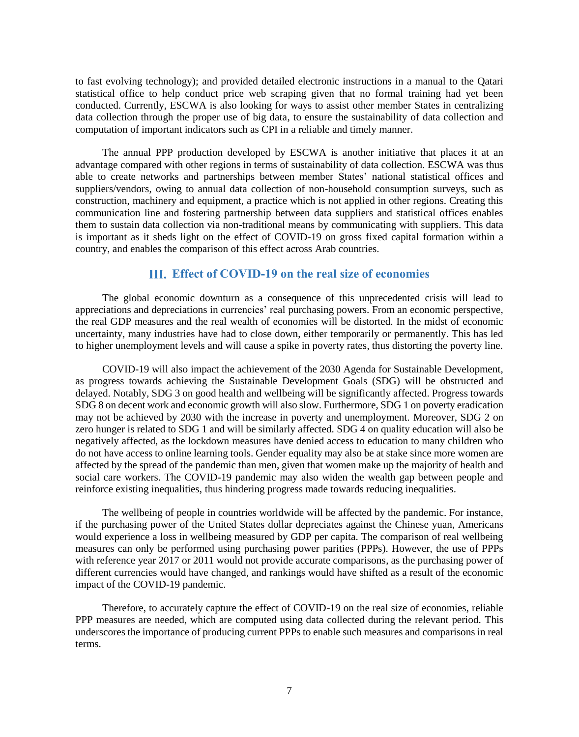to fast evolving technology); and provided detailed electronic instructions in a manual to the Qatari statistical office to help conduct price web scraping given that no formal training had yet been conducted. Currently, ESCWA is also looking for ways to assist other member States in centralizing data collection through the proper use of big data, to ensure the sustainability of data collection and computation of important indicators such as CPI in a reliable and timely manner.

The annual PPP production developed by ESCWA is another initiative that places it at an advantage compared with other regions in terms of sustainability of data collection. ESCWA was thus able to create networks and partnerships between member States' national statistical offices and suppliers/vendors, owing to annual data collection of non-household consumption surveys, such as construction, machinery and equipment, a practice which is not applied in other regions. Creating this communication line and fostering partnership between data suppliers and statistical offices enables them to sustain data collection via non-traditional means by communicating with suppliers. This data is important as it sheds light on the effect of COVID-19 on gross fixed capital formation within a country, and enables the comparison of this effect across Arab countries.

## **Effect of COVID-19 on the real size of economies**

<span id="page-9-0"></span>The global economic downturn as a consequence of this unprecedented crisis will lead to appreciations and depreciations in currencies' real purchasing powers. From an economic perspective, the real GDP measures and the real wealth of economies will be distorted. In the midst of economic uncertainty, many industries have had to close down, either temporarily or permanently. This has led to higher unemployment levels and will cause a spike in poverty rates, thus distorting the poverty line.

COVID-19 will also impact the achievement of the 2030 Agenda for Sustainable Development, as progress towards achieving the Sustainable Development Goals (SDG) will be obstructed and delayed. Notably, SDG 3 on good health and wellbeing will be significantly affected. Progress towards SDG 8 on decent work and economic growth will also slow. Furthermore, SDG 1 on poverty eradication may not be achieved by 2030 with the increase in poverty and unemployment. Moreover, SDG 2 on zero hunger is related to SDG 1 and will be similarly affected. SDG 4 on quality education will also be negatively affected, as the lockdown measures have denied access to education to many children who do not have access to online learning tools. Gender equality may also be at stake since more women are affected by the spread of the pandemic than men, given that women make up the majority of health and social care workers. The COVID-19 pandemic may also widen the wealth gap between people and reinforce existing inequalities, thus hindering progress made towards reducing inequalities.

The wellbeing of people in countries worldwide will be affected by the pandemic. For instance, if the purchasing power of the United States dollar depreciates against the Chinese yuan, Americans would experience a loss in wellbeing measured by GDP per capita. The comparison of real wellbeing measures can only be performed using purchasing power parities (PPPs). However, the use of PPPs with reference year 2017 or 2011 would not provide accurate comparisons, as the purchasing power of different currencies would have changed, and rankings would have shifted as a result of the economic impact of the COVID-19 pandemic.

Therefore, to accurately capture the effect of COVID-19 on the real size of economies, reliable PPP measures are needed, which are computed using data collected during the relevant period. This underscores the importance of producing current PPPs to enable such measures and comparisons in real terms.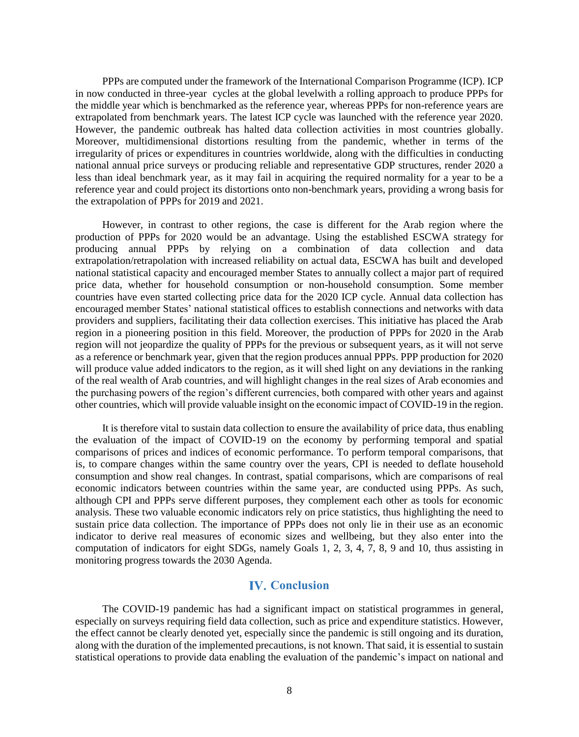PPPs are computed under the framework of the International Comparison Programme (ICP). ICP in now conducted in three-year cycles at the global levelwith a rolling approach to produce PPPs for the middle year which is benchmarked as the reference year, whereas PPPs for non-reference years are extrapolated from benchmark years. The latest ICP cycle was launched with the reference year 2020. However, the pandemic outbreak has halted data collection activities in most countries globally. Moreover, multidimensional distortions resulting from the pandemic, whether in terms of the irregularity of prices or expenditures in countries worldwide, along with the difficulties in conducting national annual price surveys or producing reliable and representative GDP structures, render 2020 a less than ideal benchmark year, as it may fail in acquiring the required normality for a year to be a reference year and could project its distortions onto non-benchmark years, providing a wrong basis for the extrapolation of PPPs for 2019 and 2021.

However, in contrast to other regions, the case is different for the Arab region where the production of PPPs for 2020 would be an advantage. Using the established ESCWA strategy for producing annual PPPs by relying on a combination of data collection and data extrapolation/retrapolation with increased reliability on actual data, ESCWA has built and developed national statistical capacity and encouraged member States to annually collect a major part of required price data, whether for household consumption or non-household consumption. Some member countries have even started collecting price data for the 2020 ICP cycle. Annual data collection has encouraged member States' national statistical offices to establish connections and networks with data providers and suppliers, facilitating their data collection exercises. This initiative has placed the Arab region in a pioneering position in this field. Moreover, the production of PPPs for 2020 in the Arab region will not jeopardize the quality of PPPs for the previous or subsequent years, as it will not serve as a reference or benchmark year, given that the region produces annual PPPs. PPP production for 2020 will produce value added indicators to the region, as it will shed light on any deviations in the ranking of the real wealth of Arab countries, and will highlight changes in the real sizes of Arab economies and the purchasing powers of the region's different currencies, both compared with other years and against other countries, which will provide valuable insight on the economic impact of COVID-19 in the region.

It is therefore vital to sustain data collection to ensure the availability of price data, thus enabling the evaluation of the impact of COVID-19 on the economy by performing temporal and spatial comparisons of prices and indices of economic performance. To perform temporal comparisons, that is, to compare changes within the same country over the years, CPI is needed to deflate household consumption and show real changes. In contrast, spatial comparisons, which are comparisons of real economic indicators between countries within the same year, are conducted using PPPs. As such, although CPI and PPPs serve different purposes, they complement each other as tools for economic analysis. These two valuable economic indicators rely on price statistics, thus highlighting the need to sustain price data collection. The importance of PPPs does not only lie in their use as an economic indicator to derive real measures of economic sizes and wellbeing, but they also enter into the computation of indicators for eight SDGs, namely Goals 1, 2, 3, 4, 7, 8, 9 and 10, thus assisting in monitoring progress towards the 2030 Agenda.

## **IV.** Conclusion

<span id="page-10-0"></span>The COVID-19 pandemic has had a significant impact on statistical programmes in general, especially on surveys requiring field data collection, such as price and expenditure statistics. However, the effect cannot be clearly denoted yet, especially since the pandemic is still ongoing and its duration, along with the duration of the implemented precautions, is not known. That said, it is essential to sustain statistical operations to provide data enabling the evaluation of the pandemic's impact on national and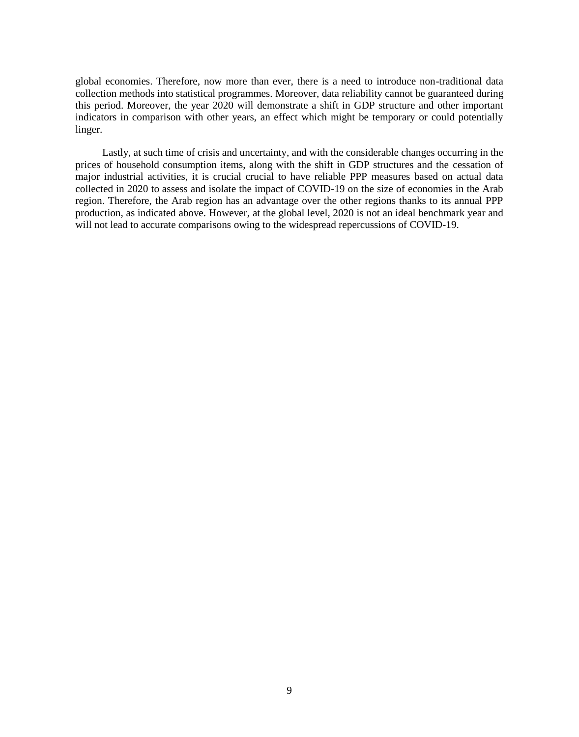global economies. Therefore, now more than ever, there is a need to introduce non-traditional data collection methods into statistical programmes. Moreover, data reliability cannot be guaranteed during this period. Moreover, the year 2020 will demonstrate a shift in GDP structure and other important indicators in comparison with other years, an effect which might be temporary or could potentially linger.

Lastly, at such time of crisis and uncertainty, and with the considerable changes occurring in the prices of household consumption items, along with the shift in GDP structures and the cessation of major industrial activities, it is crucial crucial to have reliable PPP measures based on actual data collected in 2020 to assess and isolate the impact of COVID-19 on the size of economies in the Arab region. Therefore, the Arab region has an advantage over the other regions thanks to its annual PPP production, as indicated above. However, at the global level, 2020 is not an ideal benchmark year and will not lead to accurate comparisons owing to the widespread repercussions of COVID-19.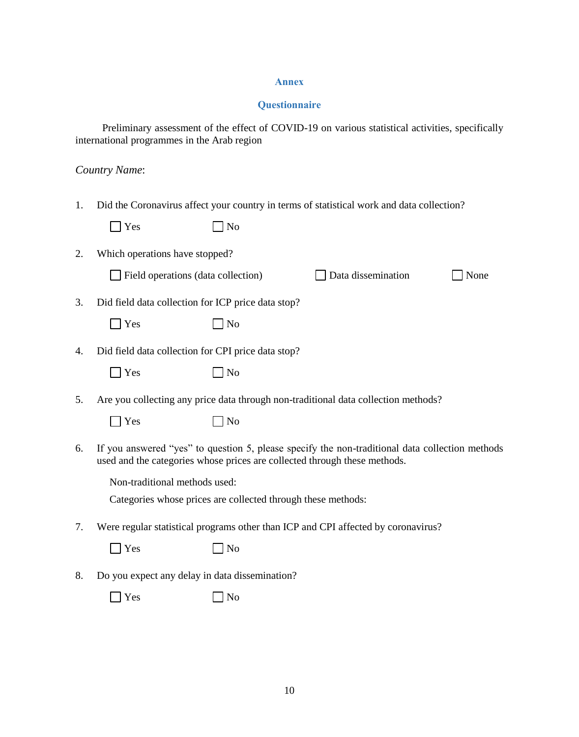## **Annex**

## **Questionnaire**

<span id="page-12-0"></span>Preliminary assessment of the effect of COVID-19 on various statistical activities, specifically international programmes in the Arab region

## *Country Name*:

| 1. |                                                                           |                                                              | Did the Coronavirus affect your country in terms of statistical work and data collection?       |      |
|----|---------------------------------------------------------------------------|--------------------------------------------------------------|-------------------------------------------------------------------------------------------------|------|
|    | $\blacksquare$ Yes                                                        | N <sub>o</sub>                                               |                                                                                                 |      |
| 2. | Which operations have stopped?                                            |                                                              |                                                                                                 |      |
|    | Field operations (data collection)                                        |                                                              | Data dissemination                                                                              | None |
| 3. | Did field data collection for ICP price data stop?                        |                                                              |                                                                                                 |      |
|    | $\bigcap$ Yes                                                             | N <sub>o</sub>                                               |                                                                                                 |      |
| 4. | Did field data collection for CPI price data stop?                        |                                                              |                                                                                                 |      |
|    | Yes                                                                       | N <sub>o</sub>                                               |                                                                                                 |      |
| 5. |                                                                           |                                                              | Are you collecting any price data through non-traditional data collection methods?              |      |
|    | Yes                                                                       | No                                                           |                                                                                                 |      |
| 6. | used and the categories whose prices are collected through these methods. |                                                              | If you answered "yes" to question 5, please specify the non-traditional data collection methods |      |
|    | Non-traditional methods used:                                             |                                                              |                                                                                                 |      |
|    |                                                                           | Categories whose prices are collected through these methods: |                                                                                                 |      |
| 7. |                                                                           |                                                              | Were regular statistical programs other than ICP and CPI affected by coronavirus?               |      |
|    | Yes                                                                       | No                                                           |                                                                                                 |      |
| 8. | Do you expect any delay in data dissemination?                            |                                                              |                                                                                                 |      |
|    | Yes                                                                       | No                                                           |                                                                                                 |      |
|    |                                                                           |                                                              |                                                                                                 |      |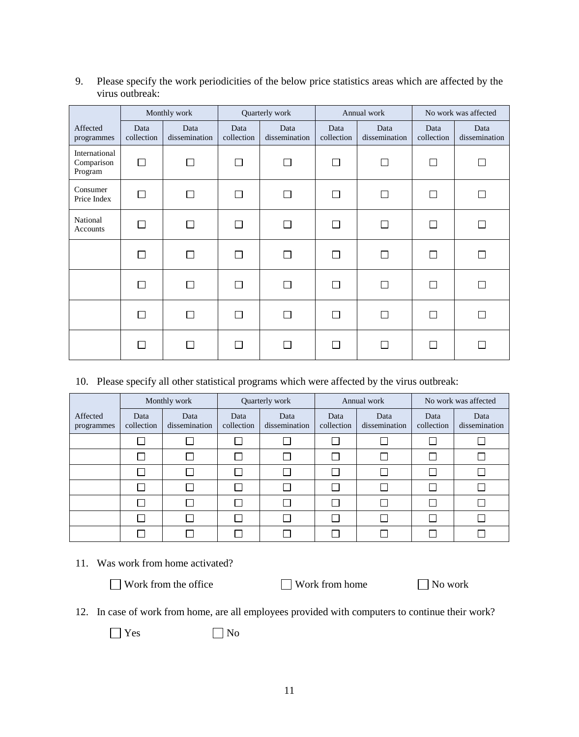|                                        |                    | Monthly work          | Quarterly work     |                       | Annual work        |                       | No work was affected |                       |
|----------------------------------------|--------------------|-----------------------|--------------------|-----------------------|--------------------|-----------------------|----------------------|-----------------------|
| Affected<br>programmes                 | Data<br>collection | Data<br>dissemination | Data<br>collection | Data<br>dissemination | Data<br>collection | Data<br>dissemination | Data<br>collection   | Data<br>dissemination |
| International<br>Comparison<br>Program | $\Box$             | П                     | Π                  | П                     | П                  | П                     | П                    |                       |
| Consumer<br>Price Index                | $\Box$             | П                     | $\Box$             | П                     |                    | П                     | П                    |                       |
| National<br>Accounts                   | $\Box$             | П                     | П                  | П                     | П                  | П                     | П                    |                       |
|                                        | П                  | П                     | П                  | П                     | П                  | □                     | П                    |                       |
|                                        | П                  | П                     | П                  | П                     | П                  | П                     | П                    |                       |
|                                        | Г                  | П                     | П                  | $\mathsf{L}$          | П                  | Г                     | П                    |                       |
|                                        | П                  | П                     | Π                  | П                     |                    | Π                     | П                    |                       |

9. Please specify the work periodicities of the below price statistics areas which are affected by the virus outbreak:

## 10. Please specify all other statistical programs which were affected by the virus outbreak:

|                        | Monthly work       |                       | Quarterly work     |                       | Annual work        |                       | No work was affected |                       |
|------------------------|--------------------|-----------------------|--------------------|-----------------------|--------------------|-----------------------|----------------------|-----------------------|
| Affected<br>programmes | Data<br>collection | Data<br>dissemination | Data<br>collection | Data<br>dissemination | Data<br>collection | Data<br>dissemination | Data<br>collection   | Data<br>dissemination |
|                        |                    |                       |                    |                       |                    |                       |                      |                       |
|                        |                    |                       |                    |                       |                    |                       |                      |                       |
|                        |                    |                       |                    |                       |                    |                       |                      |                       |
|                        |                    |                       |                    |                       |                    |                       |                      |                       |
|                        |                    |                       |                    |                       |                    |                       |                      |                       |
|                        |                    |                       |                    |                       |                    |                       |                      |                       |
|                        |                    |                       |                    |                       |                    |                       |                      |                       |

## 11. Was work from home activated?

 $\Box$  Work from the office  $\Box$  Work from home  $\Box$  No work

|  |  |  |  | 12. In case of work from home, are all employees provided with computers to continue their work? |
|--|--|--|--|--------------------------------------------------------------------------------------------------|
|--|--|--|--|--------------------------------------------------------------------------------------------------|

 $\Box$  Yes  $\Box$  No